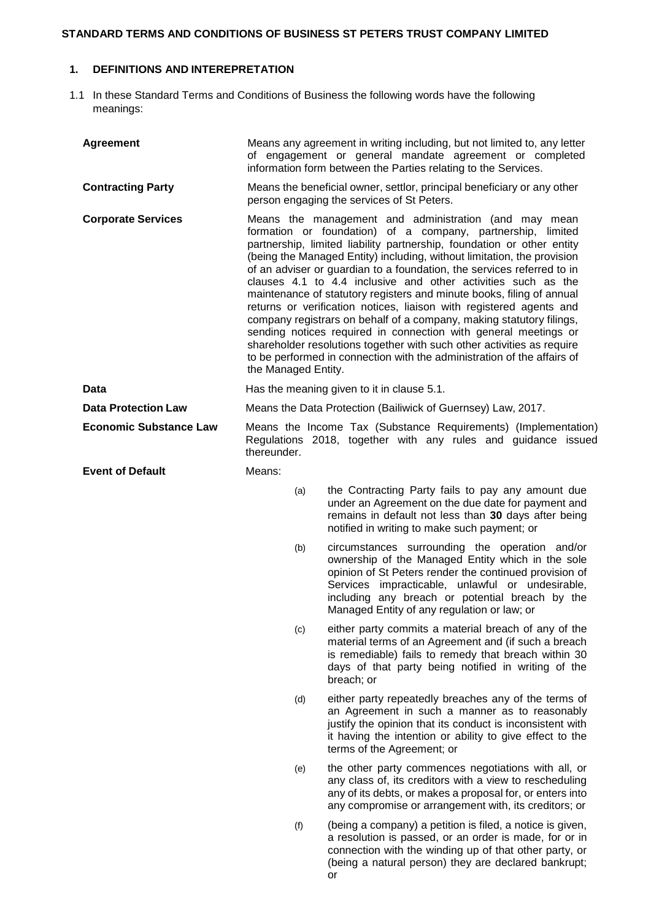# **STANDARD TERMS AND CONDITIONS OF BUSINESS ST PETERS TRUST COMPANY LIMITED**

# **1. DEFINITIONS AND INTEREPRETATION**

1.1 In these Standard Terms and Conditions of Business the following words have the following meanings:

| <b>Agreement</b>              |                                                                                                                                                                                                                                                                                                                                                                                                                                                                                                                                                                                                                                                                                                                                                                                                                                                                                             | Means any agreement in writing including, but not limited to, any letter<br>of engagement or general mandate agreement or completed<br>information form between the Parties relating to the Services.                                                                                                               |
|-------------------------------|---------------------------------------------------------------------------------------------------------------------------------------------------------------------------------------------------------------------------------------------------------------------------------------------------------------------------------------------------------------------------------------------------------------------------------------------------------------------------------------------------------------------------------------------------------------------------------------------------------------------------------------------------------------------------------------------------------------------------------------------------------------------------------------------------------------------------------------------------------------------------------------------|---------------------------------------------------------------------------------------------------------------------------------------------------------------------------------------------------------------------------------------------------------------------------------------------------------------------|
| <b>Contracting Party</b>      | Means the beneficial owner, settlor, principal beneficiary or any other<br>person engaging the services of St Peters.                                                                                                                                                                                                                                                                                                                                                                                                                                                                                                                                                                                                                                                                                                                                                                       |                                                                                                                                                                                                                                                                                                                     |
| <b>Corporate Services</b>     | Means the management and administration (and may mean<br>formation or foundation) of a company, partnership, limited<br>partnership, limited liability partnership, foundation or other entity<br>(being the Managed Entity) including, without limitation, the provision<br>of an adviser or guardian to a foundation, the services referred to in<br>clauses 4.1 to 4.4 inclusive and other activities such as the<br>maintenance of statutory registers and minute books, filing of annual<br>returns or verification notices, liaison with registered agents and<br>company registrars on behalf of a company, making statutory filings,<br>sending notices required in connection with general meetings or<br>shareholder resolutions together with such other activities as require<br>to be performed in connection with the administration of the affairs of<br>the Managed Entity. |                                                                                                                                                                                                                                                                                                                     |
| Data                          | Has the meaning given to it in clause 5.1.                                                                                                                                                                                                                                                                                                                                                                                                                                                                                                                                                                                                                                                                                                                                                                                                                                                  |                                                                                                                                                                                                                                                                                                                     |
| <b>Data Protection Law</b>    | Means the Data Protection (Bailiwick of Guernsey) Law, 2017.                                                                                                                                                                                                                                                                                                                                                                                                                                                                                                                                                                                                                                                                                                                                                                                                                                |                                                                                                                                                                                                                                                                                                                     |
| <b>Economic Substance Law</b> | thereunder.                                                                                                                                                                                                                                                                                                                                                                                                                                                                                                                                                                                                                                                                                                                                                                                                                                                                                 | Means the Income Tax (Substance Requirements) (Implementation)<br>Regulations 2018, together with any rules and guidance issued                                                                                                                                                                                     |
| <b>Event of Default</b>       | Means:                                                                                                                                                                                                                                                                                                                                                                                                                                                                                                                                                                                                                                                                                                                                                                                                                                                                                      |                                                                                                                                                                                                                                                                                                                     |
|                               | (a)                                                                                                                                                                                                                                                                                                                                                                                                                                                                                                                                                                                                                                                                                                                                                                                                                                                                                         | the Contracting Party fails to pay any amount due<br>under an Agreement on the due date for payment and<br>remains in default not less than 30 days after being<br>notified in writing to make such payment; or                                                                                                     |
|                               | (b)                                                                                                                                                                                                                                                                                                                                                                                                                                                                                                                                                                                                                                                                                                                                                                                                                                                                                         | circumstances surrounding the operation and/or<br>ownership of the Managed Entity which in the sole<br>opinion of St Peters render the continued provision of<br>Services impracticable, unlawful or undesirable,<br>including any breach or potential breach by the<br>Managed Entity of any regulation or law; or |
|                               | (c)                                                                                                                                                                                                                                                                                                                                                                                                                                                                                                                                                                                                                                                                                                                                                                                                                                                                                         | either party commits a material breach of any of the<br>material terms of an Agreement and (if such a breach<br>is remediable) fails to remedy that breach within 30<br>days of that party being notified in writing of the<br>breach; or                                                                           |
|                               | (d)                                                                                                                                                                                                                                                                                                                                                                                                                                                                                                                                                                                                                                                                                                                                                                                                                                                                                         | either party repeatedly breaches any of the terms of<br>an Agreement in such a manner as to reasonably<br>justify the opinion that its conduct is inconsistent with<br>it having the intention or ability to give effect to the<br>terms of the Agreement; or                                                       |
|                               | (e)                                                                                                                                                                                                                                                                                                                                                                                                                                                                                                                                                                                                                                                                                                                                                                                                                                                                                         | the other party commences negotiations with all, or<br>any class of, its creditors with a view to rescheduling<br>any of its debts, or makes a proposal for, or enters into<br>any compromise or arrangement with, its creditors; or                                                                                |
|                               | (f)                                                                                                                                                                                                                                                                                                                                                                                                                                                                                                                                                                                                                                                                                                                                                                                                                                                                                         | (being a company) a petition is filed, a notice is given,<br>a resolution is passed, or an order is made, for or in<br>connection with the winding up of that other party, or<br>(being a natural person) they are declared bankrupt;                                                                               |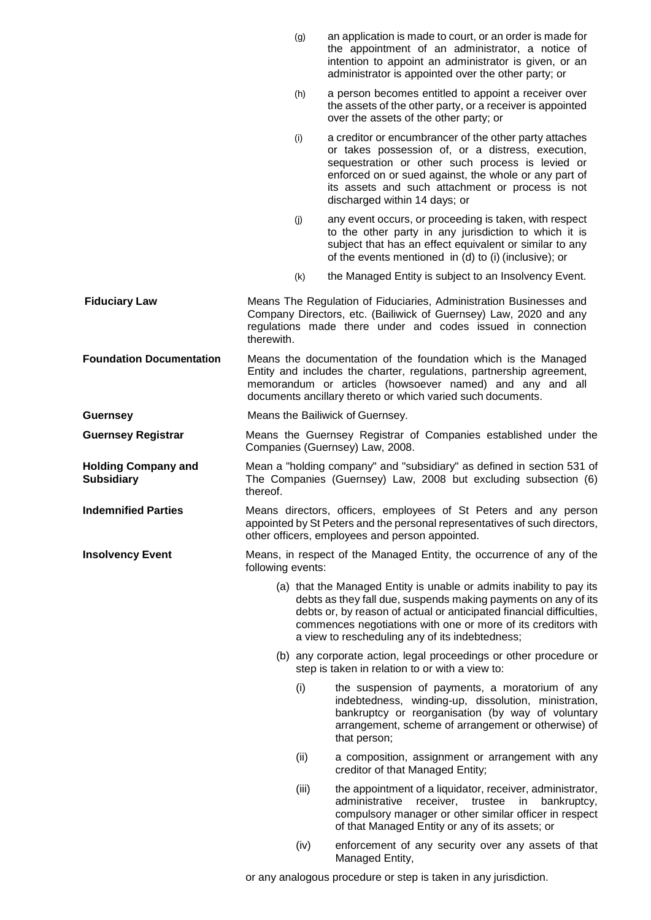- (g) an application is made to court, or an order is made for the appointment of an administrator, a notice of intention to appoint an administrator is given, or an administrator is appointed over the other party; or
- (h) a person becomes entitled to appoint a receiver over the assets of the other party, or a receiver is appointed over the assets of the other party; or
- (i) a creditor or encumbrancer of the other party attaches or takes possession of, or a distress, execution, sequestration or other such process is levied or enforced on or sued against, the whole or any part of its assets and such attachment or process is not discharged within 14 days; or
- (j) any event occurs, or proceeding is taken, with respect to the other party in any jurisdiction to which it is subject that has an effect equivalent or similar to any of the events mentioned in (d) to (i) (inclusive); or
- (k) the Managed Entity is subject to an Insolvency Event.

**Fiduciary Law Means The Regulation of Fiduciaries, Administration Businesses and** Company Directors, etc. (Bailiwick of Guernsey) Law, 2020 and any regulations made there under and codes issued in connection therewith.

- **Foundation Documentation** Means the documentation of the foundation which is the Managed Entity and includes the charter, regulations, partnership agreement, memorandum or articles (howsoever named) and any and all documents ancillary thereto or which varied such documents.
- **Guernsey Construction Exercise** Means the Bailiwick of Guernsey.

**Guernsey Registrar** Means the Guernsey Registrar of Companies established under the Companies (Guernsey) Law, 2008.

**Holding Company and Subsidiary** Mean a "holding company" and "subsidiary" as defined in section 531 of The Companies (Guernsey) Law, 2008 but excluding subsection (6) thereof.

**Indemnified Parties** Means directors, officers, employees of St Peters and any person appointed by St Peters and the personal representatives of such directors, other officers, employees and person appointed.

**Insolvency Event** Means, in respect of the Managed Entity, the occurrence of any of the following events:

- (a) that the Managed Entity is unable or admits inability to pay its debts as they fall due, suspends making payments on any of its debts or, by reason of actual or anticipated financial difficulties, commences negotiations with one or more of its creditors with a view to rescheduling any of its indebtedness;
- (b) any corporate action, legal proceedings or other procedure or step is taken in relation to or with a view to:
	- (i) the suspension of payments, a moratorium of any indebtedness, winding-up, dissolution, ministration, bankruptcy or reorganisation (by way of voluntary arrangement, scheme of arrangement or otherwise) of that person;
	- (ii) a composition, assignment or arrangement with any creditor of that Managed Entity;
	- (iii) the appointment of a liquidator, receiver, administrator, administrative receiver, trustee in bankruptcy, compulsory manager or other similar officer in respect of that Managed Entity or any of its assets; or
	- (iv) enforcement of any security over any assets of that Managed Entity,

or any analogous procedure or step is taken in any jurisdiction.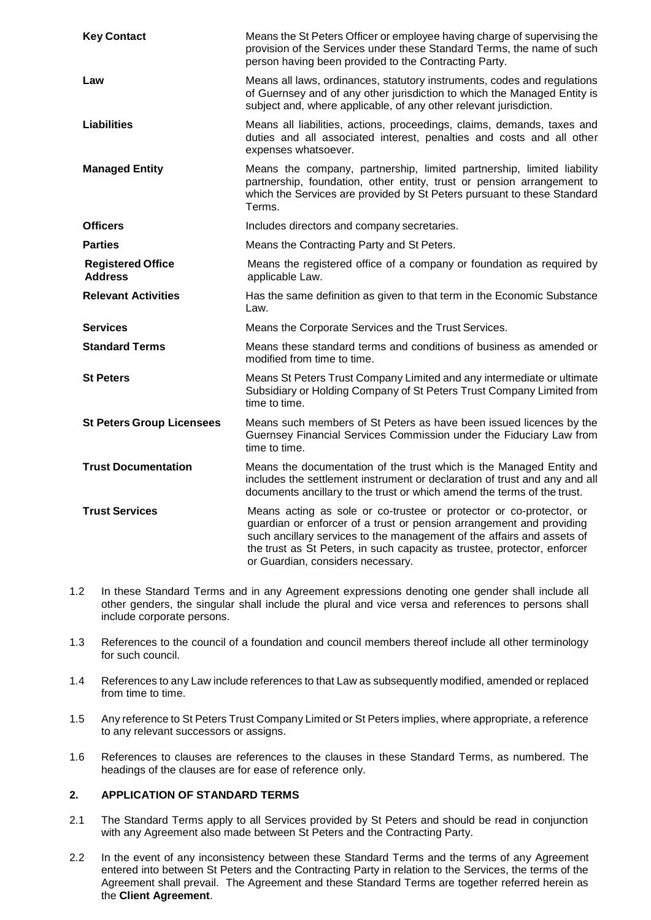| <b>Key Contact</b>                         | Means the St Peters Officer or employee having charge of supervising the<br>provision of the Services under these Standard Terms, the name of such<br>person having been provided to the Contracting Party.                                                                                                                            |  |
|--------------------------------------------|----------------------------------------------------------------------------------------------------------------------------------------------------------------------------------------------------------------------------------------------------------------------------------------------------------------------------------------|--|
| Law                                        | Means all laws, ordinances, statutory instruments, codes and regulations<br>of Guernsey and of any other jurisdiction to which the Managed Entity is<br>subject and, where applicable, of any other relevant jurisdiction.                                                                                                             |  |
| <b>Liabilities</b>                         | Means all liabilities, actions, proceedings, claims, demands, taxes and<br>duties and all associated interest, penalties and costs and all other<br>expenses whatsoever.                                                                                                                                                               |  |
| <b>Managed Entity</b>                      | Means the company, partnership, limited partnership, limited liability<br>partnership, foundation, other entity, trust or pension arrangement to<br>which the Services are provided by St Peters pursuant to these Standard<br>Terms.                                                                                                  |  |
| <b>Officers</b>                            | Includes directors and company secretaries.                                                                                                                                                                                                                                                                                            |  |
| <b>Parties</b>                             | Means the Contracting Party and St Peters.                                                                                                                                                                                                                                                                                             |  |
| <b>Registered Office</b><br><b>Address</b> | Means the registered office of a company or foundation as required by<br>applicable Law.                                                                                                                                                                                                                                               |  |
| <b>Relevant Activities</b>                 | Has the same definition as given to that term in the Economic Substance<br>Law.                                                                                                                                                                                                                                                        |  |
| <b>Services</b>                            | Means the Corporate Services and the Trust Services.                                                                                                                                                                                                                                                                                   |  |
| <b>Standard Terms</b>                      | Means these standard terms and conditions of business as amended or<br>modified from time to time.                                                                                                                                                                                                                                     |  |
| <b>St Peters</b>                           | Means St Peters Trust Company Limited and any intermediate or ultimate<br>Subsidiary or Holding Company of St Peters Trust Company Limited from<br>time to time.                                                                                                                                                                       |  |
| <b>St Peters Group Licensees</b>           | Means such members of St Peters as have been issued licences by the<br>Guernsey Financial Services Commission under the Fiduciary Law from<br>time to time.                                                                                                                                                                            |  |
| <b>Trust Documentation</b>                 | Means the documentation of the trust which is the Managed Entity and<br>includes the settlement instrument or declaration of trust and any and all<br>documents ancillary to the trust or which amend the terms of the trust.                                                                                                          |  |
| <b>Trust Services</b>                      | Means acting as sole or co-trustee or protector or co-protector, or<br>guardian or enforcer of a trust or pension arrangement and providing<br>such ancillary services to the management of the affairs and assets of<br>the trust as St Peters, in such capacity as trustee, protector, enforcer<br>or Guardian, considers necessary. |  |

- 1.2 In these Standard Terms and in any Agreement expressions denoting one gender shall include all other genders, the singular shall include the plural and vice versa and references to persons shall include corporate persons.
- 1.3 References to the council of a foundation and council members thereof include all other terminology for such council.
- 1.4 References to any Law include references to that Law as subsequently modified, amended or replaced from time to time.
- 1.5 Any reference to St Peters Trust Company Limited or St Peters implies, where appropriate, a reference to any relevant successors or assigns.
- 1.6 References to clauses are references to the clauses in these Standard Terms, as numbered. The headings of the clauses are for ease of reference only.

# **2. APPLICATION OF STANDARD TERMS**

- 2.1 The Standard Terms apply to all Services provided by St Peters and should be read in conjunction with any Agreement also made between St Peters and the Contracting Party.
- 2.2 In the event of any inconsistency between these Standard Terms and the terms of any Agreement entered into between St Peters and the Contracting Party in relation to the Services, the terms of the Agreement shall prevail. The Agreement and these Standard Terms are together referred herein as the **Client Agreement**.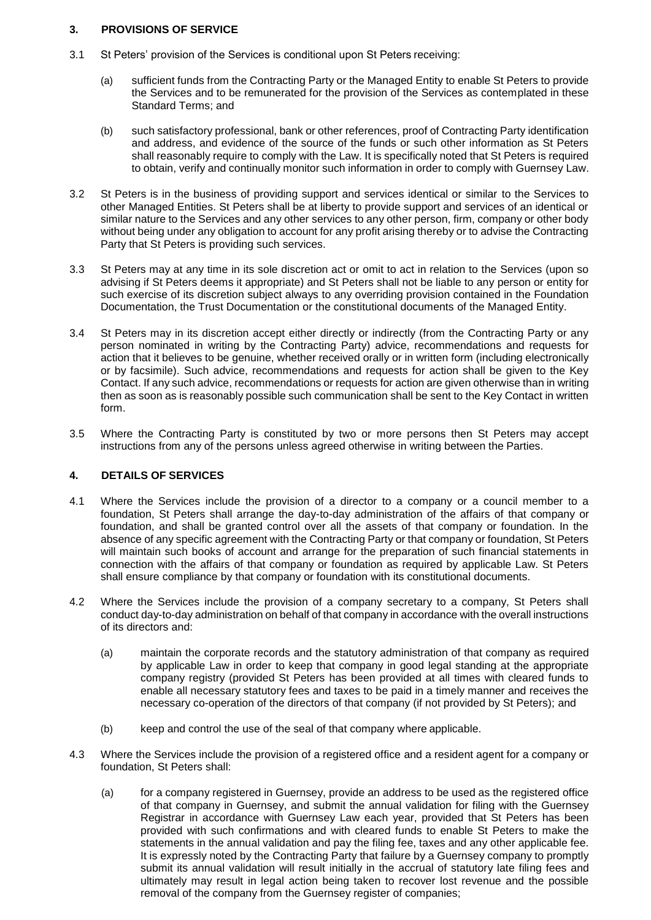# **3. PROVISIONS OF SERVICE**

- 3.1 St Peters' provision of the Services is conditional upon St Peters receiving:
	- (a) sufficient funds from the Contracting Party or the Managed Entity to enable St Peters to provide the Services and to be remunerated for the provision of the Services as contemplated in these Standard Terms; and
	- (b) such satisfactory professional, bank or other references, proof of Contracting Party identification and address, and evidence of the source of the funds or such other information as St Peters shall reasonably require to comply with the Law. It is specifically noted that St Peters is required to obtain, verify and continually monitor such information in order to comply with Guernsey Law.
- 3.2 St Peters is in the business of providing support and services identical or similar to the Services to other Managed Entities. St Peters shall be at liberty to provide support and services of an identical or similar nature to the Services and any other services to any other person, firm, company or other body without being under any obligation to account for any profit arising thereby or to advise the Contracting Party that St Peters is providing such services.
- 3.3 St Peters may at any time in its sole discretion act or omit to act in relation to the Services (upon so advising if St Peters deems it appropriate) and St Peters shall not be liable to any person or entity for such exercise of its discretion subject always to any overriding provision contained in the Foundation Documentation, the Trust Documentation or the constitutional documents of the Managed Entity.
- 3.4 St Peters may in its discretion accept either directly or indirectly (from the Contracting Party or any person nominated in writing by the Contracting Party) advice, recommendations and requests for action that it believes to be genuine, whether received orally or in written form (including electronically or by facsimile). Such advice, recommendations and requests for action shall be given to the Key Contact. If any such advice, recommendations or requests for action are given otherwise than in writing then as soon as is reasonably possible such communication shall be sent to the Key Contact in written form.
- 3.5 Where the Contracting Party is constituted by two or more persons then St Peters may accept instructions from any of the persons unless agreed otherwise in writing between the Parties.

# **4. DETAILS OF SERVICES**

- 4.1 Where the Services include the provision of a director to a company or a council member to a foundation, St Peters shall arrange the day-to-day administration of the affairs of that company or foundation, and shall be granted control over all the assets of that company or foundation. In the absence of any specific agreement with the Contracting Party or that company or foundation, St Peters will maintain such books of account and arrange for the preparation of such financial statements in connection with the affairs of that company or foundation as required by applicable Law. St Peters shall ensure compliance by that company or foundation with its constitutional documents.
- 4.2 Where the Services include the provision of a company secretary to a company, St Peters shall conduct day-to-day administration on behalf of that company in accordance with the overall instructions of its directors and:
	- (a) maintain the corporate records and the statutory administration of that company as required by applicable Law in order to keep that company in good legal standing at the appropriate company registry (provided St Peters has been provided at all times with cleared funds to enable all necessary statutory fees and taxes to be paid in a timely manner and receives the necessary co-operation of the directors of that company (if not provided by St Peters); and
	- (b) keep and control the use of the seal of that company where applicable.
- 4.3 Where the Services include the provision of a registered office and a resident agent for a company or foundation, St Peters shall:
	- (a) for a company registered in Guernsey, provide an address to be used as the registered office of that company in Guernsey, and submit the annual validation for filing with the Guernsey Registrar in accordance with Guernsey Law each year, provided that St Peters has been provided with such confirmations and with cleared funds to enable St Peters to make the statements in the annual validation and pay the filing fee, taxes and any other applicable fee. It is expressly noted by the Contracting Party that failure by a Guernsey company to promptly submit its annual validation will result initially in the accrual of statutory late filing fees and ultimately may result in legal action being taken to recover lost revenue and the possible removal of the company from the Guernsey register of companies;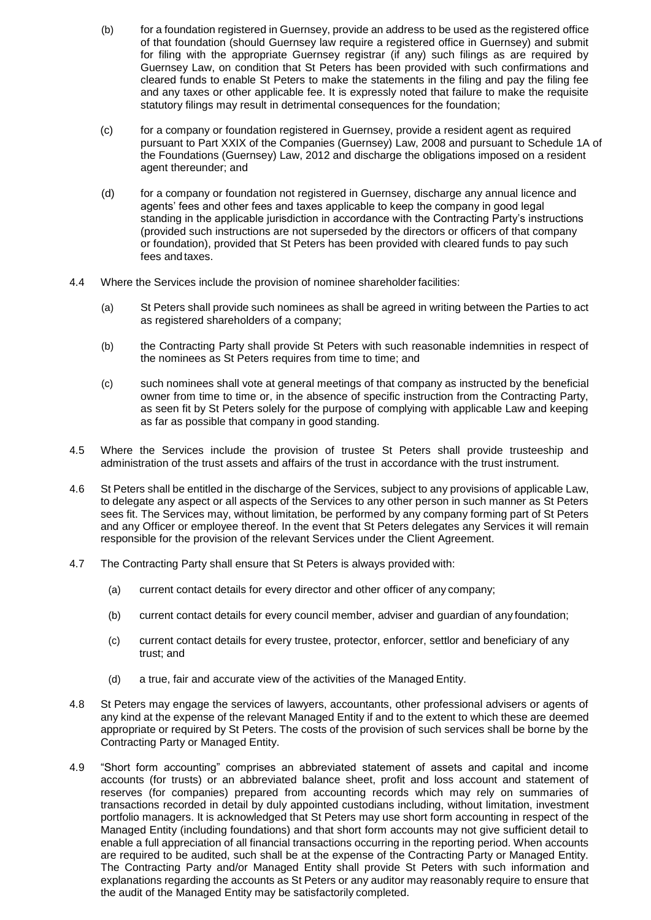- (b) for a foundation registered in Guernsey, provide an address to be used as the registered office of that foundation (should Guernsey law require a registered office in Guernsey) and submit for filing with the appropriate Guernsey registrar (if any) such filings as are required by Guernsey Law, on condition that St Peters has been provided with such confirmations and cleared funds to enable St Peters to make the statements in the filing and pay the filing fee and any taxes or other applicable fee. It is expressly noted that failure to make the requisite statutory filings may result in detrimental consequences for the foundation;
- (c) for a company or foundation registered in Guernsey, provide a resident agent as required pursuant to Part XXIX of the Companies (Guernsey) Law, 2008 and pursuant to Schedule 1A of the Foundations (Guernsey) Law, 2012 and discharge the obligations imposed on a resident agent thereunder; and
- (d) for a company or foundation not registered in Guernsey, discharge any annual licence and agents' fees and other fees and taxes applicable to keep the company in good legal standing in the applicable jurisdiction in accordance with the Contracting Party's instructions (provided such instructions are not superseded by the directors or officers of that company or foundation), provided that St Peters has been provided with cleared funds to pay such fees and taxes.
- 4.4 Where the Services include the provision of nominee shareholder facilities:
	- (a) St Peters shall provide such nominees as shall be agreed in writing between the Parties to act as registered shareholders of a company;
	- (b) the Contracting Party shall provide St Peters with such reasonable indemnities in respect of the nominees as St Peters requires from time to time; and
	- (c) such nominees shall vote at general meetings of that company as instructed by the beneficial owner from time to time or, in the absence of specific instruction from the Contracting Party, as seen fit by St Peters solely for the purpose of complying with applicable Law and keeping as far as possible that company in good standing.
- 4.5 Where the Services include the provision of trustee St Peters shall provide trusteeship and administration of the trust assets and affairs of the trust in accordance with the trust instrument.
- 4.6 St Peters shall be entitled in the discharge of the Services, subject to any provisions of applicable Law, to delegate any aspect or all aspects of the Services to any other person in such manner as St Peters sees fit. The Services may, without limitation, be performed by any company forming part of St Peters and any Officer or employee thereof. In the event that St Peters delegates any Services it will remain responsible for the provision of the relevant Services under the Client Agreement.
- 4.7 The Contracting Party shall ensure that St Peters is always provided with:
	- (a) current contact details for every director and other officer of any company;
	- (b) current contact details for every council member, adviser and guardian of any foundation;
	- (c) current contact details for every trustee, protector, enforcer, settlor and beneficiary of any trust; and
	- (d) a true, fair and accurate view of the activities of the Managed Entity.
- 4.8 St Peters may engage the services of lawyers, accountants, other professional advisers or agents of any kind at the expense of the relevant Managed Entity if and to the extent to which these are deemed appropriate or required by St Peters. The costs of the provision of such services shall be borne by the Contracting Party or Managed Entity.
- 4.9 "Short form accounting" comprises an abbreviated statement of assets and capital and income accounts (for trusts) or an abbreviated balance sheet, profit and loss account and statement of reserves (for companies) prepared from accounting records which may rely on summaries of transactions recorded in detail by duly appointed custodians including, without limitation, investment portfolio managers. It is acknowledged that St Peters may use short form accounting in respect of the Managed Entity (including foundations) and that short form accounts may not give sufficient detail to enable a full appreciation of all financial transactions occurring in the reporting period. When accounts are required to be audited, such shall be at the expense of the Contracting Party or Managed Entity. The Contracting Party and/or Managed Entity shall provide St Peters with such information and explanations regarding the accounts as St Peters or any auditor may reasonably require to ensure that the audit of the Managed Entity may be satisfactorily completed.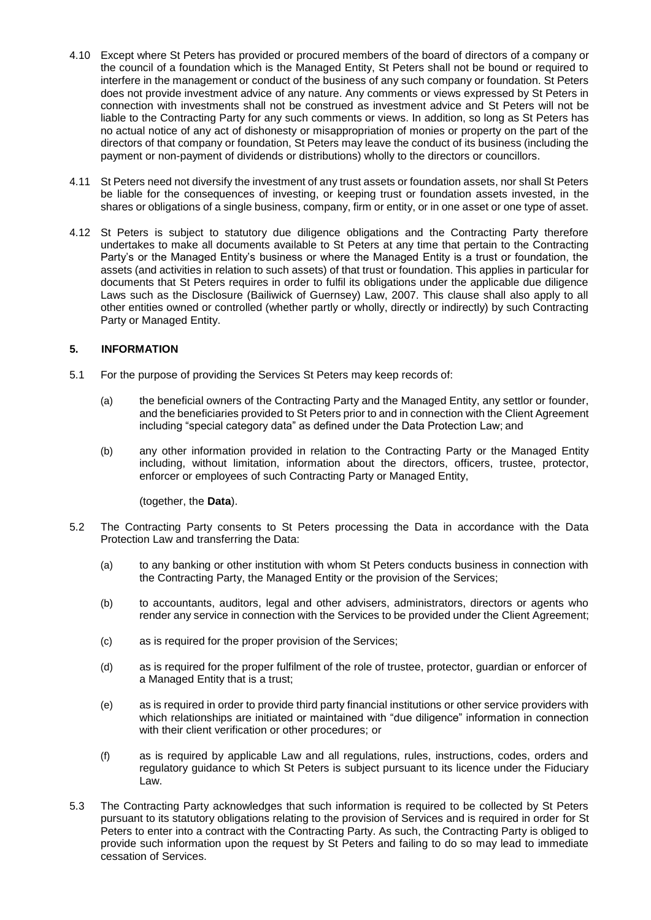- 4.10 Except where St Peters has provided or procured members of the board of directors of a company or the council of a foundation which is the Managed Entity, St Peters shall not be bound or required to interfere in the management or conduct of the business of any such company or foundation. St Peters does not provide investment advice of any nature. Any comments or views expressed by St Peters in connection with investments shall not be construed as investment advice and St Peters will not be liable to the Contracting Party for any such comments or views. In addition, so long as St Peters has no actual notice of any act of dishonesty or misappropriation of monies or property on the part of the directors of that company or foundation, St Peters may leave the conduct of its business (including the payment or non-payment of dividends or distributions) wholly to the directors or councillors.
- 4.11 St Peters need not diversify the investment of any trust assets or foundation assets, nor shall St Peters be liable for the consequences of investing, or keeping trust or foundation assets invested, in the shares or obligations of a single business, company, firm or entity, or in one asset or one type of asset.
- 4.12 St Peters is subject to statutory due diligence obligations and the Contracting Party therefore undertakes to make all documents available to St Peters at any time that pertain to the Contracting Party's or the Managed Entity's business or where the Managed Entity is a trust or foundation, the assets (and activities in relation to such assets) of that trust or foundation. This applies in particular for documents that St Peters requires in order to fulfil its obligations under the applicable due diligence Laws such as the Disclosure (Bailiwick of Guernsey) Law, 2007. This clause shall also apply to all other entities owned or controlled (whether partly or wholly, directly or indirectly) by such Contracting Party or Managed Entity.

#### **5. INFORMATION**

- 5.1 For the purpose of providing the Services St Peters may keep records of:
	- (a) the beneficial owners of the Contracting Party and the Managed Entity, any settlor or founder, and the beneficiaries provided to St Peters prior to and in connection with the Client Agreement including "special category data" as defined under the Data Protection Law; and
	- (b) any other information provided in relation to the Contracting Party or the Managed Entity including, without limitation, information about the directors, officers, trustee, protector, enforcer or employees of such Contracting Party or Managed Entity,

(together, the **Data**).

- 5.2 The Contracting Party consents to St Peters processing the Data in accordance with the Data Protection Law and transferring the Data:
	- (a) to any banking or other institution with whom St Peters conducts business in connection with the Contracting Party, the Managed Entity or the provision of the Services;
	- (b) to accountants, auditors, legal and other advisers, administrators, directors or agents who render any service in connection with the Services to be provided under the Client Agreement;
	- (c) as is required for the proper provision of the Services;
	- (d) as is required for the proper fulfilment of the role of trustee, protector, guardian or enforcer of a Managed Entity that is a trust;
	- (e) as is required in order to provide third party financial institutions or other service providers with which relationships are initiated or maintained with "due diligence" information in connection with their client verification or other procedures; or
	- (f) as is required by applicable Law and all regulations, rules, instructions, codes, orders and regulatory guidance to which St Peters is subject pursuant to its licence under the Fiduciary Law.
- 5.3 The Contracting Party acknowledges that such information is required to be collected by St Peters pursuant to its statutory obligations relating to the provision of Services and is required in order for St Peters to enter into a contract with the Contracting Party. As such, the Contracting Party is obliged to provide such information upon the request by St Peters and failing to do so may lead to immediate cessation of Services.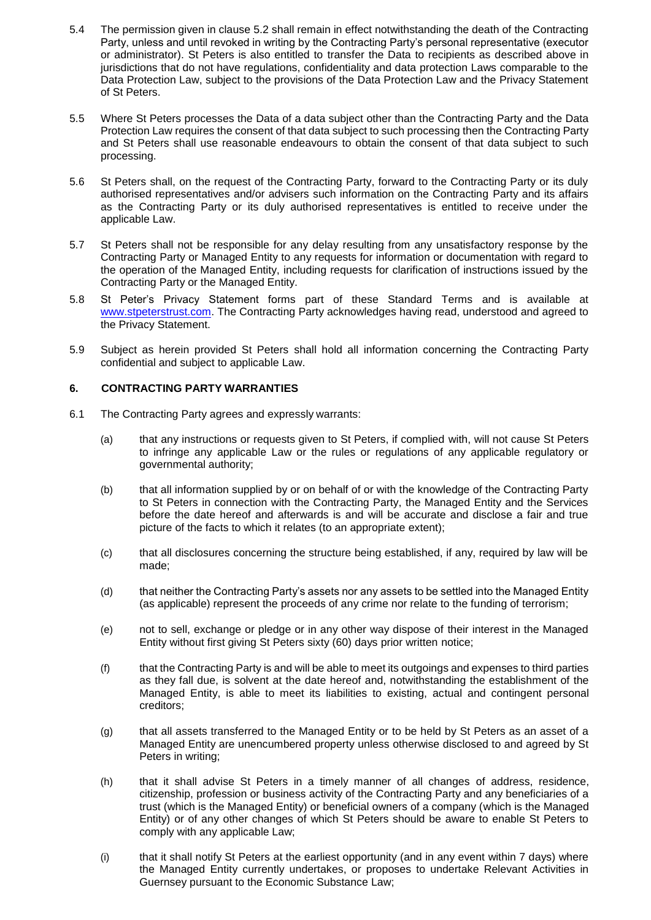- 5.4 The permission given in clause 5.2 shall remain in effect notwithstanding the death of the Contracting Party, unless and until revoked in writing by the Contracting Party's personal representative (executor or administrator). St Peters is also entitled to transfer the Data to recipients as described above in jurisdictions that do not have regulations, confidentiality and data protection Laws comparable to the Data Protection Law, subject to the provisions of the Data Protection Law and the Privacy Statement of St Peters.
- 5.5 Where St Peters processes the Data of a data subject other than the Contracting Party and the Data Protection Law requires the consent of that data subject to such processing then the Contracting Party and St Peters shall use reasonable endeavours to obtain the consent of that data subject to such processing.
- 5.6 St Peters shall, on the request of the Contracting Party, forward to the Contracting Party or its duly authorised representatives and/or advisers such information on the Contracting Party and its affairs as the Contracting Party or its duly authorised representatives is entitled to receive under the applicable Law.
- 5.7 St Peters shall not be responsible for any delay resulting from any unsatisfactory response by the Contracting Party or Managed Entity to any requests for information or documentation with regard to the operation of the Managed Entity, including requests for clarification of instructions issued by the Contracting Party or the Managed Entity.
- 5.8 St Peter's Privacy Statement forms part of these Standard Terms and is available at [www.stpeterstrust.com. T](http://www.stpeterstrust.com/)he Contracting Party acknowledges having read, understood and agreed to the Privacy Statement.
- 5.9 Subject as herein provided St Peters shall hold all information concerning the Contracting Party confidential and subject to applicable Law.

# **6. CONTRACTING PARTY WARRANTIES**

- 6.1 The Contracting Party agrees and expressly warrants:
	- (a) that any instructions or requests given to St Peters, if complied with, will not cause St Peters to infringe any applicable Law or the rules or regulations of any applicable regulatory or governmental authority;
	- (b) that all information supplied by or on behalf of or with the knowledge of the Contracting Party to St Peters in connection with the Contracting Party, the Managed Entity and the Services before the date hereof and afterwards is and will be accurate and disclose a fair and true picture of the facts to which it relates (to an appropriate extent);
	- (c) that all disclosures concerning the structure being established, if any, required by law will be made;
	- (d) that neither the Contracting Party's assets nor any assets to be settled into the Managed Entity (as applicable) represent the proceeds of any crime nor relate to the funding of terrorism;
	- (e) not to sell, exchange or pledge or in any other way dispose of their interest in the Managed Entity without first giving St Peters sixty (60) days prior written notice;
	- (f) that the Contracting Party is and will be able to meet its outgoings and expenses to third parties as they fall due, is solvent at the date hereof and, notwithstanding the establishment of the Managed Entity, is able to meet its liabilities to existing, actual and contingent personal creditors;
	- (g) that all assets transferred to the Managed Entity or to be held by St Peters as an asset of a Managed Entity are unencumbered property unless otherwise disclosed to and agreed by St Peters in writing;
	- (h) that it shall advise St Peters in a timely manner of all changes of address, residence, citizenship, profession or business activity of the Contracting Party and any beneficiaries of a trust (which is the Managed Entity) or beneficial owners of a company (which is the Managed Entity) or of any other changes of which St Peters should be aware to enable St Peters to comply with any applicable Law;
	- (i) that it shall notify St Peters at the earliest opportunity (and in any event within 7 days) where the Managed Entity currently undertakes, or proposes to undertake Relevant Activities in Guernsey pursuant to the Economic Substance Law;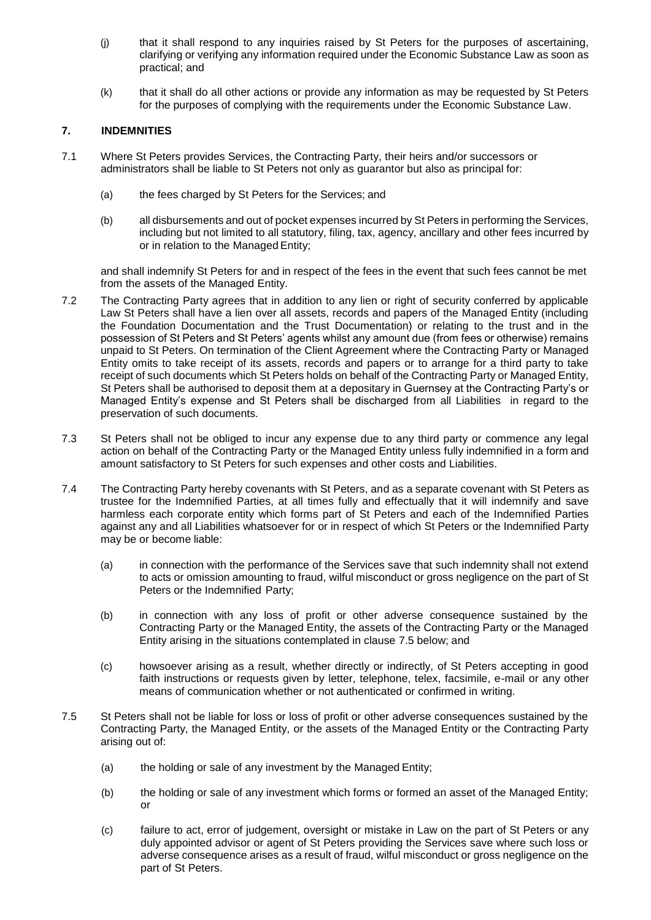- (j) that it shall respond to any inquiries raised by St Peters for the purposes of ascertaining, clarifying or verifying any information required under the Economic Substance Law as soon as practical; and
- (k) that it shall do all other actions or provide any information as may be requested by St Peters for the purposes of complying with the requirements under the Economic Substance Law.

#### **7. INDEMNITIES**

- 7.1 Where St Peters provides Services, the Contracting Party, their heirs and/or successors or administrators shall be liable to St Peters not only as guarantor but also as principal for:
	- (a) the fees charged by St Peters for the Services; and
	- (b) all disbursements and out of pocket expenses incurred by St Peters in performing the Services, including but not limited to all statutory, filing, tax, agency, ancillary and other fees incurred by or in relation to the Managed Entity;

and shall indemnify St Peters for and in respect of the fees in the event that such fees cannot be met from the assets of the Managed Entity.

- 7.2 The Contracting Party agrees that in addition to any lien or right of security conferred by applicable Law St Peters shall have a lien over all assets, records and papers of the Managed Entity (including the Foundation Documentation and the Trust Documentation) or relating to the trust and in the possession of St Peters and St Peters' agents whilst any amount due (from fees or otherwise) remains unpaid to St Peters. On termination of the Client Agreement where the Contracting Party or Managed Entity omits to take receipt of its assets, records and papers or to arrange for a third party to take receipt of such documents which St Peters holds on behalf of the Contracting Party or Managed Entity, St Peters shall be authorised to deposit them at a depositary in Guernsey at the Contracting Party's or Managed Entity's expense and St Peters shall be discharged from all Liabilities in regard to the preservation of such documents.
- 7.3 St Peters shall not be obliged to incur any expense due to any third party or commence any legal action on behalf of the Contracting Party or the Managed Entity unless fully indemnified in a form and amount satisfactory to St Peters for such expenses and other costs and Liabilities.
- 7.4 The Contracting Party hereby covenants with St Peters, and as a separate covenant with St Peters as trustee for the Indemnified Parties, at all times fully and effectually that it will indemnify and save harmless each corporate entity which forms part of St Peters and each of the Indemnified Parties against any and all Liabilities whatsoever for or in respect of which St Peters or the Indemnified Party may be or become liable:
	- (a) in connection with the performance of the Services save that such indemnity shall not extend to acts or omission amounting to fraud, wilful misconduct or gross negligence on the part of St Peters or the Indemnified Party;
	- (b) in connection with any loss of profit or other adverse consequence sustained by the Contracting Party or the Managed Entity, the assets of the Contracting Party or the Managed Entity arising in the situations contemplated in clause 7.5 below; and
	- (c) howsoever arising as a result, whether directly or indirectly, of St Peters accepting in good faith instructions or requests given by letter, telephone, telex, facsimile, e-mail or any other means of communication whether or not authenticated or confirmed in writing.
- 7.5 St Peters shall not be liable for loss or loss of profit or other adverse consequences sustained by the Contracting Party, the Managed Entity, or the assets of the Managed Entity or the Contracting Party arising out of:
	- (a) the holding or sale of any investment by the Managed Entity;
	- (b) the holding or sale of any investment which forms or formed an asset of the Managed Entity; or
	- (c) failure to act, error of judgement, oversight or mistake in Law on the part of St Peters or any duly appointed advisor or agent of St Peters providing the Services save where such loss or adverse consequence arises as a result of fraud, wilful misconduct or gross negligence on the part of St Peters.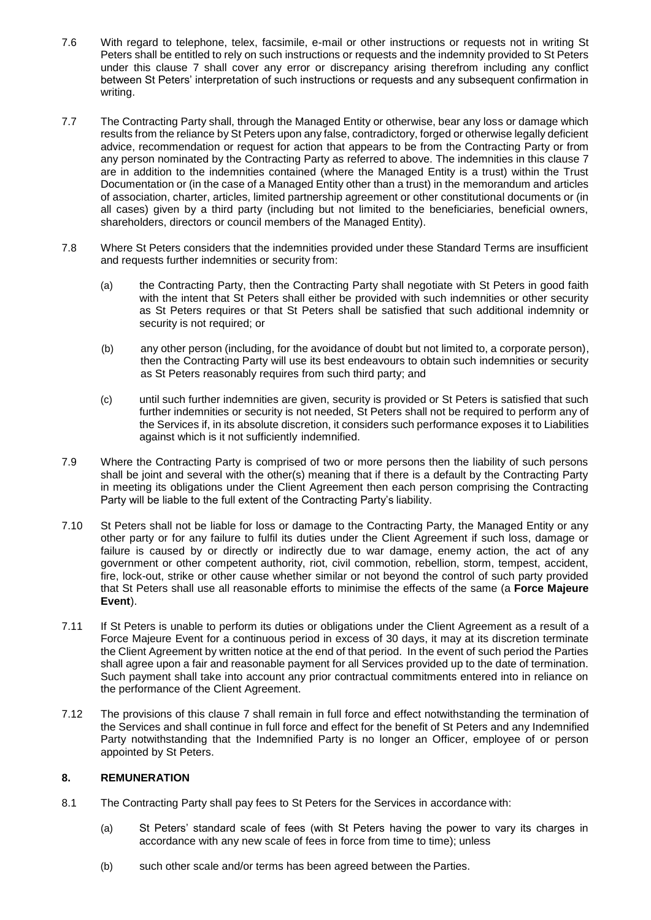- 7.6 With regard to telephone, telex, facsimile, e-mail or other instructions or requests not in writing St Peters shall be entitled to rely on such instructions or requests and the indemnity provided to St Peters under this clause 7 shall cover any error or discrepancy arising therefrom including any conflict between St Peters' interpretation of such instructions or requests and any subsequent confirmation in writing.
- 7.7 The Contracting Party shall, through the Managed Entity or otherwise, bear any loss or damage which results from the reliance by St Peters upon any false, contradictory, forged or otherwise legally deficient advice, recommendation or request for action that appears to be from the Contracting Party or from any person nominated by the Contracting Party as referred to above. The indemnities in this clause 7 are in addition to the indemnities contained (where the Managed Entity is a trust) within the Trust Documentation or (in the case of a Managed Entity other than a trust) in the memorandum and articles of association, charter, articles, limited partnership agreement or other constitutional documents or (in all cases) given by a third party (including but not limited to the beneficiaries, beneficial owners, shareholders, directors or council members of the Managed Entity).
- 7.8 Where St Peters considers that the indemnities provided under these Standard Terms are insufficient and requests further indemnities or security from:
	- (a) the Contracting Party, then the Contracting Party shall negotiate with St Peters in good faith with the intent that St Peters shall either be provided with such indemnities or other security as St Peters requires or that St Peters shall be satisfied that such additional indemnity or security is not required; or
	- (b) any other person (including, for the avoidance of doubt but not limited to, a corporate person), then the Contracting Party will use its best endeavours to obtain such indemnities or security as St Peters reasonably requires from such third party; and
	- (c) until such further indemnities are given, security is provided or St Peters is satisfied that such further indemnities or security is not needed, St Peters shall not be required to perform any of the Services if, in its absolute discretion, it considers such performance exposes it to Liabilities against which is it not sufficiently indemnified.
- 7.9 Where the Contracting Party is comprised of two or more persons then the liability of such persons shall be joint and several with the other(s) meaning that if there is a default by the Contracting Party in meeting its obligations under the Client Agreement then each person comprising the Contracting Party will be liable to the full extent of the Contracting Party's liability.
- 7.10 St Peters shall not be liable for loss or damage to the Contracting Party, the Managed Entity or any other party or for any failure to fulfil its duties under the Client Agreement if such loss, damage or failure is caused by or directly or indirectly due to war damage, enemy action, the act of any government or other competent authority, riot, civil commotion, rebellion, storm, tempest, accident, fire, lock-out, strike or other cause whether similar or not beyond the control of such party provided that St Peters shall use all reasonable efforts to minimise the effects of the same (a **Force Majeure Event**).
- 7.11 If St Peters is unable to perform its duties or obligations under the Client Agreement as a result of a Force Majeure Event for a continuous period in excess of 30 days, it may at its discretion terminate the Client Agreement by written notice at the end of that period. In the event of such period the Parties shall agree upon a fair and reasonable payment for all Services provided up to the date of termination. Such payment shall take into account any prior contractual commitments entered into in reliance on the performance of the Client Agreement.
- 7.12 The provisions of this clause 7 shall remain in full force and effect notwithstanding the termination of the Services and shall continue in full force and effect for the benefit of St Peters and any Indemnified Party notwithstanding that the Indemnified Party is no longer an Officer, employee of or person appointed by St Peters.

# **8. REMUNERATION**

- 8.1 The Contracting Party shall pay fees to St Peters for the Services in accordance with:
	- (a) St Peters' standard scale of fees (with St Peters having the power to vary its charges in accordance with any new scale of fees in force from time to time); unless
	- (b) such other scale and/or terms has been agreed between the Parties.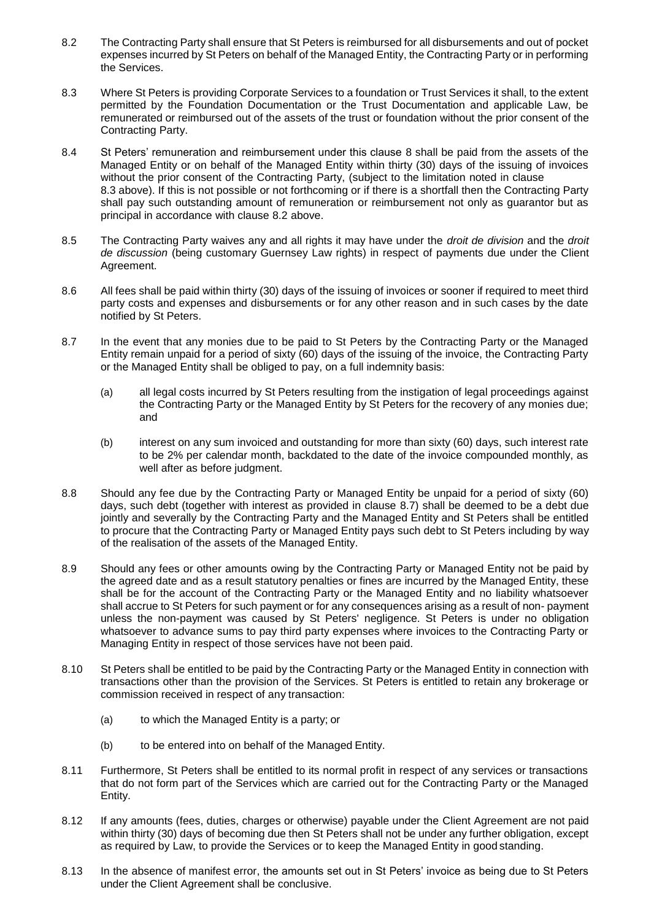- 8.2 The Contracting Party shall ensure that St Peters is reimbursed for all disbursements and out of pocket expenses incurred by St Peters on behalf of the Managed Entity, the Contracting Party or in performing the Services.
- 8.3 Where St Peters is providing Corporate Services to a foundation or Trust Services it shall, to the extent permitted by the Foundation Documentation or the Trust Documentation and applicable Law, be remunerated or reimbursed out of the assets of the trust or foundation without the prior consent of the Contracting Party.
- 8.4 St Peters' remuneration and reimbursement under this clause 8 shall be paid from the assets of the Managed Entity or on behalf of the Managed Entity within thirty (30) days of the issuing of invoices without the prior consent of the Contracting Party, (subject to the limitation noted in clause 8.3 above). If this is not possible or not forthcoming or if there is a shortfall then the Contracting Party shall pay such outstanding amount of remuneration or reimbursement not only as guarantor but as principal in accordance with clause 8.2 above.
- 8.5 The Contracting Party waives any and all rights it may have under the *droit de division* and the *droit de discussion* (being customary Guernsey Law rights) in respect of payments due under the Client Agreement.
- 8.6 All fees shall be paid within thirty (30) days of the issuing of invoices or sooner if required to meet third party costs and expenses and disbursements or for any other reason and in such cases by the date notified by St Peters.
- 8.7 In the event that any monies due to be paid to St Peters by the Contracting Party or the Managed Entity remain unpaid for a period of sixty (60) days of the issuing of the invoice, the Contracting Party or the Managed Entity shall be obliged to pay, on a full indemnity basis:
	- (a) all legal costs incurred by St Peters resulting from the instigation of legal proceedings against the Contracting Party or the Managed Entity by St Peters for the recovery of any monies due; and
	- (b) interest on any sum invoiced and outstanding for more than sixty (60) days, such interest rate to be 2% per calendar month, backdated to the date of the invoice compounded monthly, as well after as before judgment.
- 8.8 Should any fee due by the Contracting Party or Managed Entity be unpaid for a period of sixty (60) days, such debt (together with interest as provided in clause 8.7) shall be deemed to be a debt due jointly and severally by the Contracting Party and the Managed Entity and St Peters shall be entitled to procure that the Contracting Party or Managed Entity pays such debt to St Peters including by way of the realisation of the assets of the Managed Entity.
- 8.9 Should any fees or other amounts owing by the Contracting Party or Managed Entity not be paid by the agreed date and as a result statutory penalties or fines are incurred by the Managed Entity, these shall be for the account of the Contracting Party or the Managed Entity and no liability whatsoever shall accrue to St Peters for such payment or for any consequences arising as a result of non- payment unless the non-payment was caused by St Peters' negligence. St Peters is under no obligation whatsoever to advance sums to pay third party expenses where invoices to the Contracting Party or Managing Entity in respect of those services have not been paid.
- 8.10 St Peters shall be entitled to be paid by the Contracting Party or the Managed Entity in connection with transactions other than the provision of the Services. St Peters is entitled to retain any brokerage or commission received in respect of any transaction:
	- (a) to which the Managed Entity is a party; or
	- (b) to be entered into on behalf of the Managed Entity.
- 8.11 Furthermore, St Peters shall be entitled to its normal profit in respect of any services or transactions that do not form part of the Services which are carried out for the Contracting Party or the Managed Entity.
- 8.12 If any amounts (fees, duties, charges or otherwise) payable under the Client Agreement are not paid within thirty (30) days of becoming due then St Peters shall not be under any further obligation, except as required by Law, to provide the Services or to keep the Managed Entity in good standing.
- 8.13 In the absence of manifest error, the amounts set out in St Peters' invoice as being due to St Peters under the Client Agreement shall be conclusive.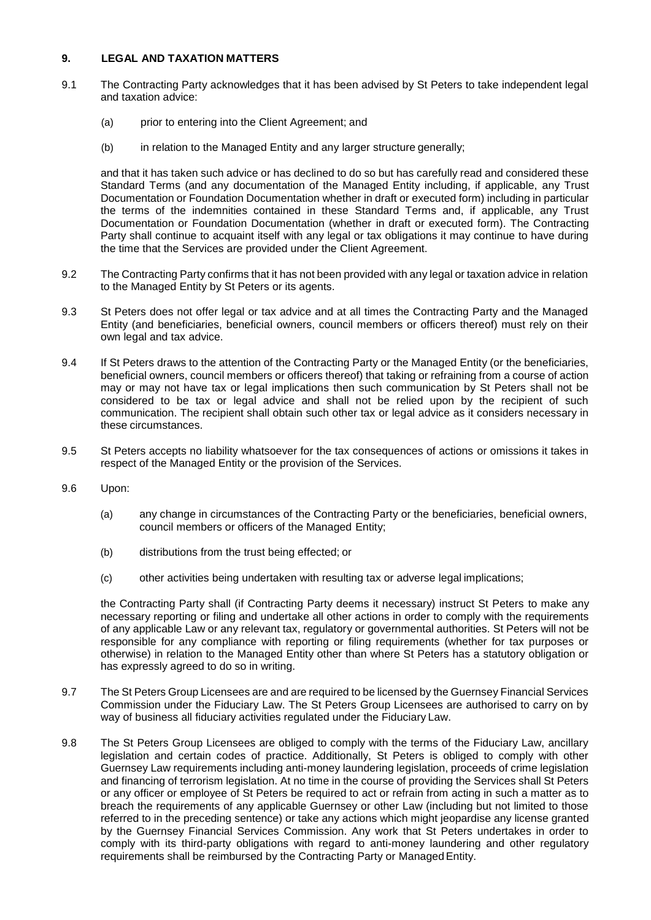#### **9. LEGAL AND TAXATION MATTERS**

- 9.1 The Contracting Party acknowledges that it has been advised by St Peters to take independent legal and taxation advice:
	- (a) prior to entering into the Client Agreement; and
	- (b) in relation to the Managed Entity and any larger structure generally;

and that it has taken such advice or has declined to do so but has carefully read and considered these Standard Terms (and any documentation of the Managed Entity including, if applicable, any Trust Documentation or Foundation Documentation whether in draft or executed form) including in particular the terms of the indemnities contained in these Standard Terms and, if applicable, any Trust Documentation or Foundation Documentation (whether in draft or executed form). The Contracting Party shall continue to acquaint itself with any legal or tax obligations it may continue to have during the time that the Services are provided under the Client Agreement.

- 9.2 The Contracting Party confirms that it has not been provided with any legal or taxation advice in relation to the Managed Entity by St Peters or its agents.
- 9.3 St Peters does not offer legal or tax advice and at all times the Contracting Party and the Managed Entity (and beneficiaries, beneficial owners, council members or officers thereof) must rely on their own legal and tax advice.
- 9.4 If St Peters draws to the attention of the Contracting Party or the Managed Entity (or the beneficiaries, beneficial owners, council members or officers thereof) that taking or refraining from a course of action may or may not have tax or legal implications then such communication by St Peters shall not be considered to be tax or legal advice and shall not be relied upon by the recipient of such communication. The recipient shall obtain such other tax or legal advice as it considers necessary in these circumstances.
- 9.5 St Peters accepts no liability whatsoever for the tax consequences of actions or omissions it takes in respect of the Managed Entity or the provision of the Services.
- 9.6 Upon:
	- (a) any change in circumstances of the Contracting Party or the beneficiaries, beneficial owners, council members or officers of the Managed Entity;
	- (b) distributions from the trust being effected; or
	- (c) other activities being undertaken with resulting tax or adverse legal implications;

the Contracting Party shall (if Contracting Party deems it necessary) instruct St Peters to make any necessary reporting or filing and undertake all other actions in order to comply with the requirements of any applicable Law or any relevant tax, regulatory or governmental authorities. St Peters will not be responsible for any compliance with reporting or filing requirements (whether for tax purposes or otherwise) in relation to the Managed Entity other than where St Peters has a statutory obligation or has expressly agreed to do so in writing.

- 9.7 The St Peters Group Licensees are and are required to be licensed by the Guernsey Financial Services Commission under the Fiduciary Law. The St Peters Group Licensees are authorised to carry on by way of business all fiduciary activities regulated under the Fiduciary Law.
- 9.8 The St Peters Group Licensees are obliged to comply with the terms of the Fiduciary Law, ancillary legislation and certain codes of practice. Additionally, St Peters is obliged to comply with other Guernsey Law requirements including anti-money laundering legislation, proceeds of crime legislation and financing of terrorism legislation. At no time in the course of providing the Services shall St Peters or any officer or employee of St Peters be required to act or refrain from acting in such a matter as to breach the requirements of any applicable Guernsey or other Law (including but not limited to those referred to in the preceding sentence) or take any actions which might jeopardise any license granted by the Guernsey Financial Services Commission. Any work that St Peters undertakes in order to comply with its third-party obligations with regard to anti-money laundering and other regulatory requirements shall be reimbursed by the Contracting Party or Managed Entity.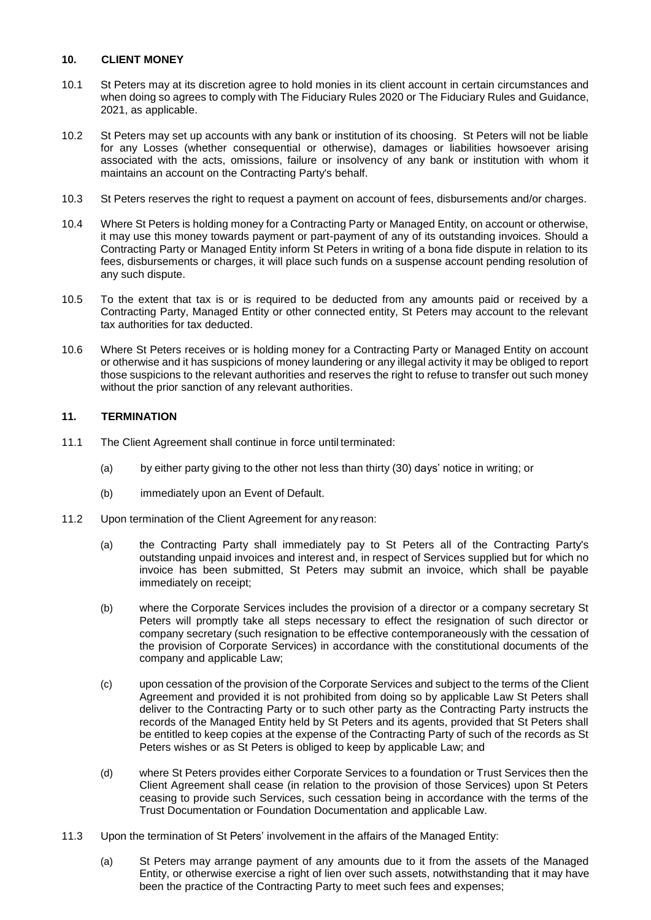#### **10. CLIENT MONEY**

- 10.1 St Peters may at its discretion agree to hold monies in its client account in certain circumstances and when doing so agrees to comply with The Fiduciary Rules 2020 or The Fiduciary Rules and Guidance, 2021, as applicable.
- 10.2 St Peters may set up accounts with any bank or institution of its choosing. St Peters will not be liable for any Losses (whether consequential or otherwise), damages or liabilities howsoever arising associated with the acts, omissions, failure or insolvency of any bank or institution with whom it maintains an account on the Contracting Party's behalf.
- 10.3 St Peters reserves the right to request a payment on account of fees, disbursements and/or charges.
- 10.4 Where St Peters is holding money for a Contracting Party or Managed Entity, on account or otherwise, it may use this money towards payment or part-payment of any of its outstanding invoices. Should a Contracting Party or Managed Entity inform St Peters in writing of a bona fide dispute in relation to its fees, disbursements or charges, it will place such funds on a suspense account pending resolution of any such dispute.
- 10.5 To the extent that tax is or is required to be deducted from any amounts paid or received by a Contracting Party, Managed Entity or other connected entity, St Peters may account to the relevant tax authorities for tax deducted.
- 10.6 Where St Peters receives or is holding money for a Contracting Party or Managed Entity on account or otherwise and it has suspicions of money laundering or any illegal activity it may be obliged to report those suspicions to the relevant authorities and reserves the right to refuse to transfer out such money without the prior sanction of any relevant authorities.

# **11. TERMINATION**

- 11.1 The Client Agreement shall continue in force until terminated:
	- (a) by either party giving to the other not less than thirty (30) days' notice in writing; or
	- (b) immediately upon an Event of Default.
- 11.2 Upon termination of the Client Agreement for any reason:
	- (a) the Contracting Party shall immediately pay to St Peters all of the Contracting Party's outstanding unpaid invoices and interest and, in respect of Services supplied but for which no invoice has been submitted, St Peters may submit an invoice, which shall be payable immediately on receipt;
	- (b) where the Corporate Services includes the provision of a director or a company secretary St Peters will promptly take all steps necessary to effect the resignation of such director or company secretary (such resignation to be effective contemporaneously with the cessation of the provision of Corporate Services) in accordance with the constitutional documents of the company and applicable Law;
	- (c) upon cessation of the provision of the Corporate Services and subject to the terms of the Client Agreement and provided it is not prohibited from doing so by applicable Law St Peters shall deliver to the Contracting Party or to such other party as the Contracting Party instructs the records of the Managed Entity held by St Peters and its agents, provided that St Peters shall be entitled to keep copies at the expense of the Contracting Party of such of the records as St Peters wishes or as St Peters is obliged to keep by applicable Law; and
	- (d) where St Peters provides either Corporate Services to a foundation or Trust Services then the Client Agreement shall cease (in relation to the provision of those Services) upon St Peters ceasing to provide such Services, such cessation being in accordance with the terms of the Trust Documentation or Foundation Documentation and applicable Law.
- 11.3 Upon the termination of St Peters' involvement in the affairs of the Managed Entity:
	- (a) St Peters may arrange payment of any amounts due to it from the assets of the Managed Entity, or otherwise exercise a right of lien over such assets, notwithstanding that it may have been the practice of the Contracting Party to meet such fees and expenses;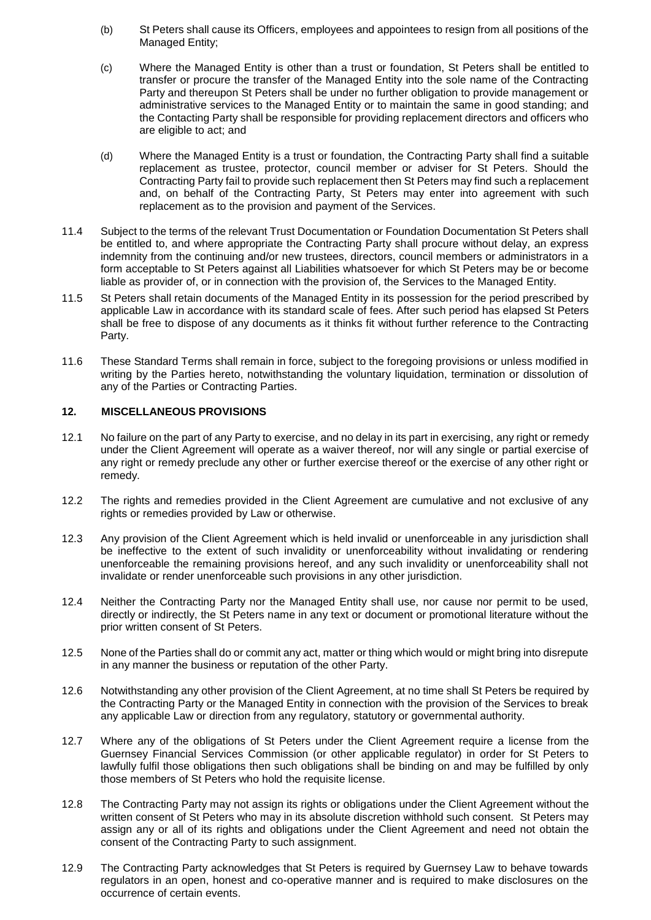- (b) St Peters shall cause its Officers, employees and appointees to resign from all positions of the Managed Entity;
- (c) Where the Managed Entity is other than a trust or foundation, St Peters shall be entitled to transfer or procure the transfer of the Managed Entity into the sole name of the Contracting Party and thereupon St Peters shall be under no further obligation to provide management or administrative services to the Managed Entity or to maintain the same in good standing; and the Contacting Party shall be responsible for providing replacement directors and officers who are eligible to act; and
- (d) Where the Managed Entity is a trust or foundation, the Contracting Party shall find a suitable replacement as trustee, protector, council member or adviser for St Peters. Should the Contracting Party fail to provide such replacement then St Peters may find such a replacement and, on behalf of the Contracting Party, St Peters may enter into agreement with such replacement as to the provision and payment of the Services.
- 11.4 Subject to the terms of the relevant Trust Documentation or Foundation Documentation St Peters shall be entitled to, and where appropriate the Contracting Party shall procure without delay, an express indemnity from the continuing and/or new trustees, directors, council members or administrators in a form acceptable to St Peters against all Liabilities whatsoever for which St Peters may be or become liable as provider of, or in connection with the provision of, the Services to the Managed Entity.
- 11.5 St Peters shall retain documents of the Managed Entity in its possession for the period prescribed by applicable Law in accordance with its standard scale of fees. After such period has elapsed St Peters shall be free to dispose of any documents as it thinks fit without further reference to the Contracting Party.
- 11.6 These Standard Terms shall remain in force, subject to the foregoing provisions or unless modified in writing by the Parties hereto, notwithstanding the voluntary liquidation, termination or dissolution of any of the Parties or Contracting Parties.

# **12. MISCELLANEOUS PROVISIONS**

- 12.1 No failure on the part of any Party to exercise, and no delay in its part in exercising, any right or remedy under the Client Agreement will operate as a waiver thereof, nor will any single or partial exercise of any right or remedy preclude any other or further exercise thereof or the exercise of any other right or remedy.
- 12.2 The rights and remedies provided in the Client Agreement are cumulative and not exclusive of any rights or remedies provided by Law or otherwise.
- 12.3 Any provision of the Client Agreement which is held invalid or unenforceable in any jurisdiction shall be ineffective to the extent of such invalidity or unenforceability without invalidating or rendering unenforceable the remaining provisions hereof, and any such invalidity or unenforceability shall not invalidate or render unenforceable such provisions in any other jurisdiction.
- 12.4 Neither the Contracting Party nor the Managed Entity shall use, nor cause nor permit to be used, directly or indirectly, the St Peters name in any text or document or promotional literature without the prior written consent of St Peters.
- 12.5 None of the Parties shall do or commit any act, matter or thing which would or might bring into disrepute in any manner the business or reputation of the other Party.
- 12.6 Notwithstanding any other provision of the Client Agreement, at no time shall St Peters be required by the Contracting Party or the Managed Entity in connection with the provision of the Services to break any applicable Law or direction from any regulatory, statutory or governmental authority.
- 12.7 Where any of the obligations of St Peters under the Client Agreement require a license from the Guernsey Financial Services Commission (or other applicable regulator) in order for St Peters to lawfully fulfil those obligations then such obligations shall be binding on and may be fulfilled by only those members of St Peters who hold the requisite license.
- 12.8 The Contracting Party may not assign its rights or obligations under the Client Agreement without the written consent of St Peters who may in its absolute discretion withhold such consent. St Peters may assign any or all of its rights and obligations under the Client Agreement and need not obtain the consent of the Contracting Party to such assignment.
- 12.9 The Contracting Party acknowledges that St Peters is required by Guernsey Law to behave towards regulators in an open, honest and co-operative manner and is required to make disclosures on the occurrence of certain events.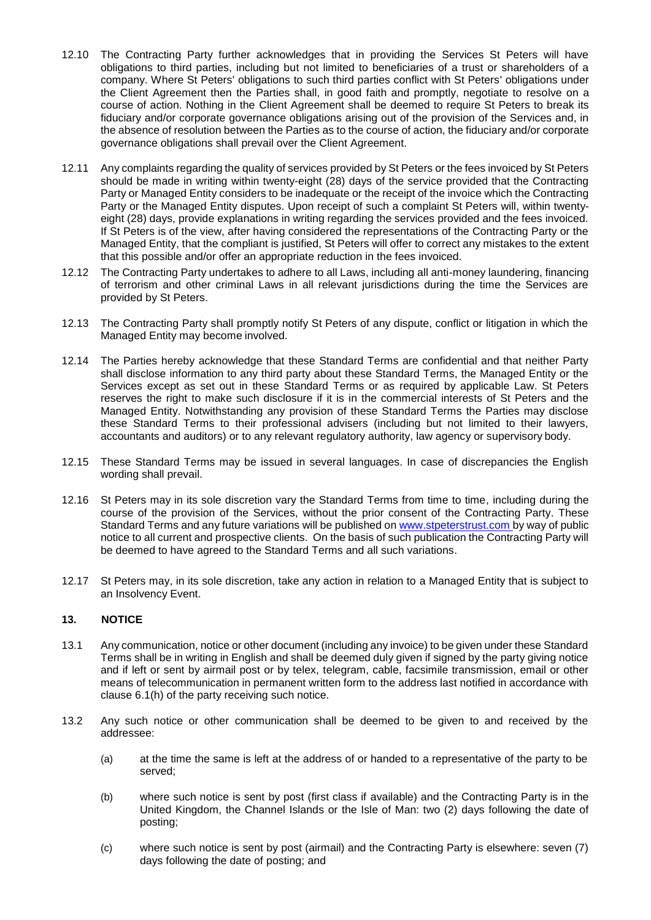- 12.10 The Contracting Party further acknowledges that in providing the Services St Peters will have obligations to third parties, including but not limited to beneficiaries of a trust or shareholders of a company. Where St Peters' obligations to such third parties conflict with St Peters' obligations under the Client Agreement then the Parties shall, in good faith and promptly, negotiate to resolve on a course of action. Nothing in the Client Agreement shall be deemed to require St Peters to break its fiduciary and/or corporate governance obligations arising out of the provision of the Services and, in the absence of resolution between the Parties as to the course of action, the fiduciary and/or corporate governance obligations shall prevail over the Client Agreement.
- 12.11 Any complaints regarding the quality of services provided by St Peters or the fees invoiced by St Peters should be made in writing within twenty-eight (28) days of the service provided that the Contracting Party or Managed Entity considers to be inadequate or the receipt of the invoice which the Contracting Party or the Managed Entity disputes. Upon receipt of such a complaint St Peters will, within twentyeight (28) days, provide explanations in writing regarding the services provided and the fees invoiced. If St Peters is of the view, after having considered the representations of the Contracting Party or the Managed Entity, that the compliant is justified, St Peters will offer to correct any mistakes to the extent that this possible and/or offer an appropriate reduction in the fees invoiced.
- 12.12 The Contracting Party undertakes to adhere to all Laws, including all anti-money laundering, financing of terrorism and other criminal Laws in all relevant jurisdictions during the time the Services are provided by St Peters.
- 12.13 The Contracting Party shall promptly notify St Peters of any dispute, conflict or litigation in which the Managed Entity may become involved.
- 12.14 The Parties hereby acknowledge that these Standard Terms are confidential and that neither Party shall disclose information to any third party about these Standard Terms, the Managed Entity or the Services except as set out in these Standard Terms or as required by applicable Law. St Peters reserves the right to make such disclosure if it is in the commercial interests of St Peters and the Managed Entity. Notwithstanding any provision of these Standard Terms the Parties may disclose these Standard Terms to their professional advisers (including but not limited to their lawyers, accountants and auditors) or to any relevant regulatory authority, law agency or supervisory body.
- 12.15 These Standard Terms may be issued in several languages. In case of discrepancies the English wording shall prevail.
- 12.16 St Peters may in its sole discretion vary the Standard Terms from time to time, including during the course of the provision of the Services, without the prior consent of the Contracting Party. These Standard Terms and any future variations will be published on [www.stpeterstrust.com](http://www.stpeterstrust.com/) by way of public notice to all current and prospective clients. On the basis of such publication the Contracting Party will be deemed to have agreed to the Standard Terms and all such variations.
- 12.17 St Peters may, in its sole discretion, take any action in relation to a Managed Entity that is subject to an Insolvency Event.

#### **13. NOTICE**

- 13.1 Any communication, notice or other document (including any invoice) to be given under these Standard Terms shall be in writing in English and shall be deemed duly given if signed by the party giving notice and if left or sent by airmail post or by telex, telegram, cable, facsimile transmission, email or other means of telecommunication in permanent written form to the address last notified in accordance with clause 6.1(h) of the party receiving such notice.
- 13.2 Any such notice or other communication shall be deemed to be given to and received by the addressee:
	- (a) at the time the same is left at the address of or handed to a representative of the party to be served;
	- (b) where such notice is sent by post (first class if available) and the Contracting Party is in the United Kingdom, the Channel Islands or the Isle of Man: two (2) days following the date of posting;
	- (c) where such notice is sent by post (airmail) and the Contracting Party is elsewhere: seven (7) days following the date of posting; and